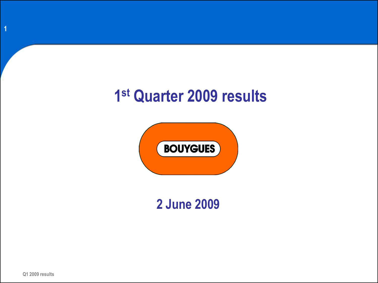# **1 st Quarter 2009 results**



**2 June 2009**

**1**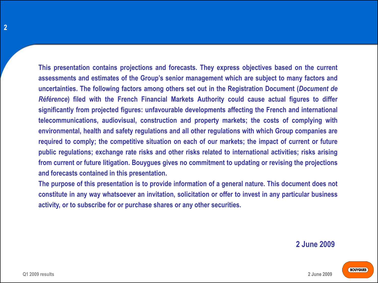**This presentation contains projections and forecasts. They express objectives based on the current assessments and estimates of the Group's senior management which are subject to many factors and uncertainties. The following factors among others set out in the Registration Document (***Document de Référence***) filed with the French Financial Markets Authority could cause actual figures to differ significantly from projected figures: unfavourable developments affecting the French and international telecommunications, audiovisual, construction and property markets; the costs of complying with environmental, health and safety regulations and all other regulations with which Group companies are required to comply; the competitive situation on each of our markets; the impact of current or future public regulations; exchange rate risks and other risks related to international activities; risks arising from current or future litigation. Bouygues gives no commitment to updating or revising the projections and forecasts contained in this presentation.**

**The purpose of this presentation is to provide information of a general nature. This document does not constitute in any way whatsoever an invitation, solicitation or offer to invest in any particular business activity, or to subscribe for or purchase shares or any other securities.**

#### **2 June 2009**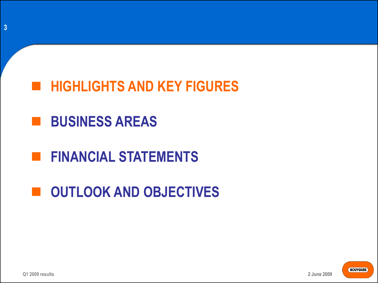

### **BUSINESS AREAS**

### **FINANCIAL STATEMENTS**

# $\blacksquare$  **OUTLOOK AND OBJECTIVES**

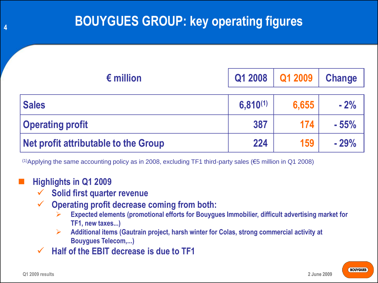| $\epsilon$ million                   | Q1 2008       | Q1 2009 | <b>Change</b> |
|--------------------------------------|---------------|---------|---------------|
| <b>Sales</b>                         | $6,810^{(1)}$ | 6,655   | $-2%$         |
| <b>Operating profit</b>              | 387           | 174     | $-55%$        |
| Net profit attributable to the Group | 224           | 159     | $-29%$        |

(1)Applying the same accounting policy as in 2008, excluding TF1 third-party sales ( $\epsilon$ 5 million in Q1 2008)

#### **Highlights in Q1 2009**

- **Solid first quarter revenue**
- **Operating profit decrease coming from both:**
	- **Expected elements (promotional efforts for Bouygues Immobilier, difficult advertising market for TF1, new taxes...)**
	- **Additional items (Gautrain project, harsh winter for Colas, strong commercial activity at Bouygues Telecom,...)**
- **Half of the EBIT decrease is due to TF1**

**4**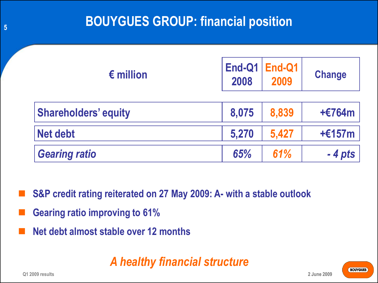| $\epsilon$ million          | 2008  | $End-Q1$ $End-Q1$<br>2009 | <b>Change</b> |
|-----------------------------|-------|---------------------------|---------------|
| <b>Shareholders' equity</b> | 8,075 | 8,839                     | +€764m        |
| <b>Net debt</b>             | 5,270 | 5,427                     | $+£157m$      |
| <b>Gearing ratio</b>        | 65%   | 61%                       | $-4$ pts      |

- **S&P credit rating reiterated on 27 May 2009: A- with a stable outlook**
- **Gearing ratio improving to 61%**
- **Net debt almost stable over 12 months**

### *A healthy financial structure*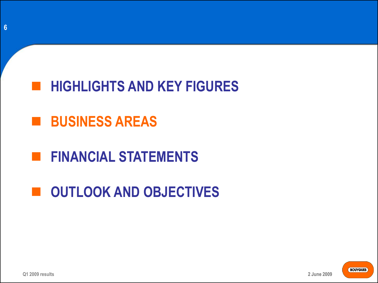

### **BUSINESS AREAS**

# **FINANCIAL STATEMENTS**

# $\blacksquare$  **OUTLOOK AND OBJECTIVES**



**2 June 2009**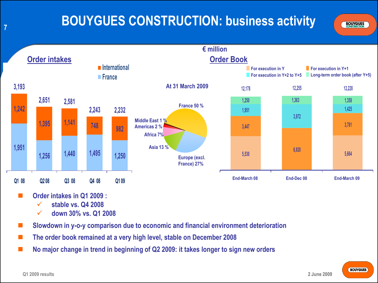**7**

### **BOUYGUES CONSTRUCTION: business activity**





- **Order intakes in Q1 2009 :**
	- **stable vs. Q4 2008**
	- **down 30% vs. Q1 2008**
- **Slowdown in y-o-y comparison due to economic and financial environment deterioration**
- **The order book remained at a very high level, stable on December 2008**
- **No major change in trend in beginning of Q2 2009: it takes longer to sign new orders**

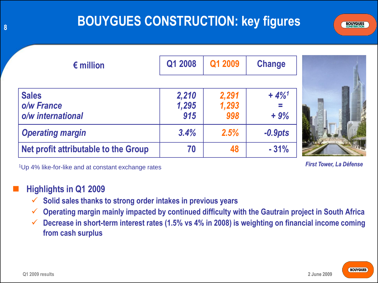# **BOUYGUES CONSTRUCTION: key figures**

| <b>BOUYGUES</b><br><b>CONSTRUCTION</b> |  |
|----------------------------------------|--|
|                                        |  |

| $\epsilon$ million                   | Q1 2008      | Q1 2009      | <b>Change</b>       |
|--------------------------------------|--------------|--------------|---------------------|
| <b>Sales</b>                         | 2,210        | 2,291        | $+4\%$ <sup>1</sup> |
| o/w France<br>o/w international      | 1,295<br>915 | 1,293<br>998 | $=$<br>$+9%$        |
| <b>Operating margin</b>              | 3.4%         | 2.5%         | $-0.9pts$           |
| Net profit attributable to the Group | 70           | 48           | $-31%$              |



<sup>1</sup> *First Tower, La Défense* Up 4% like-for-like and at constant exchange rates

**2 June 2009**

#### **Highlights in Q1 2009**

- **Solid sales thanks to strong order intakes in previous years**
- **Operating margin mainly impacted by continued difficulty with the Gautrain project in South Africa**
- **Decrease in short-term interest rates (1.5% vs 4% in 2008) is weighting on financial income coming from cash surplus**

**8**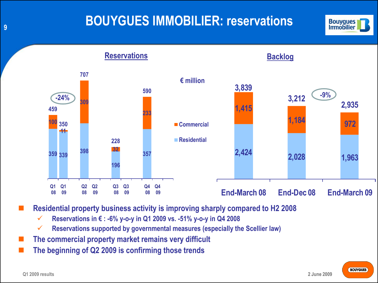### **BOUYGUES IMMOBILIER: reservations**



**Backlog**

**Reservations**



**Residential property business activity is improving sharply compared to H2 2008** 

- **Reservations in € : -6% y-o-y in Q1 2009 vs. -51% y-o-y in Q4 2008**
- **Reservations supported by governmental measures (especially the Scellier law)**
- **The commercial property market remains very difficult**
- **The beginning of Q2 2009 is confirming those trends**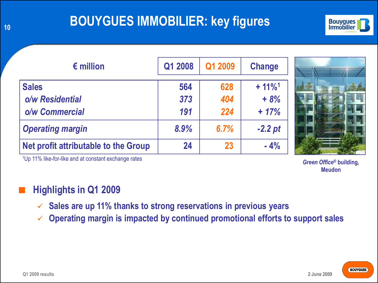### **BOUYGUES IMMOBILIER: key figures**



| $\epsilon$ million                   | Q1 2008 | Q1 2009 | <b>Change</b>         |
|--------------------------------------|---------|---------|-----------------------|
| <b>Sales</b>                         | 564     | 628     | $+ 11\%$ <sup>1</sup> |
| o/w Residential                      | 373     | 404     | $+8%$                 |
| o/w Commercial                       | 191     | 224     | $+ 17%$               |
| <b>Operating margin</b>              | 8.9%    | 6.7%    | $-2.2$ pt             |
| Net profit attributable to the Group | 24      | 23      | $-4%$                 |



<sup>1</sup>Up 11% like-for-like and at constant exchange rates

*Green Office***® building, Meudon**

### **Highlights in Q1 2009**

- **Sales are up 11% thanks to strong reservations in previous years**
- **Operating margin is impacted by continued promotional efforts to support sales**

**10**

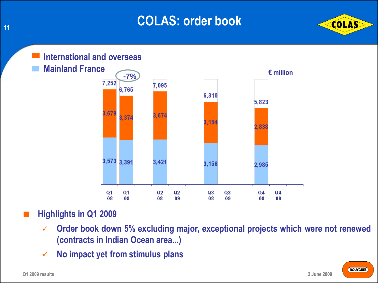### **COLAS: order book**





### **Highlights in Q1 2009**

- **Order book down 5% excluding major, exceptional projects which were not renewed (contracts in Indian Ocean area...)**
- **No impact yet from stimulus plans**



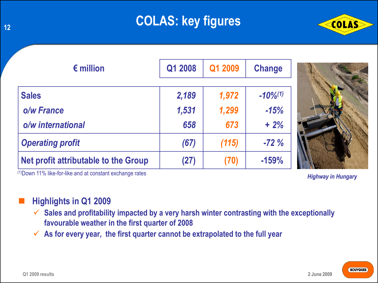## **COLAS: key figures**



| $\epsilon$ million                   | Q1 2008 | Q1 2009 | <b>Change</b> |
|--------------------------------------|---------|---------|---------------|
| <b>Sales</b>                         | 2,189   | 1,972   | $-10\%^{(1)}$ |
| o/w France                           | 1,531   | 1,299   | $-15%$        |
| o/w international                    | 658     | 673     | $+2%$         |
| <b>Operating profit</b>              | (67)    | (115)   | $-72%$        |
| Net profit attributable to the Group | (27)    | (70)    | $-159%$       |



#### **Highlights in Q1 2009**

- **Sales and profitability impacted by a very harsh winter contrasting with the exceptionally favourable weather in the first quarter of 2008**
- **As for every year, the first quarter cannot be extrapolated to the full year**



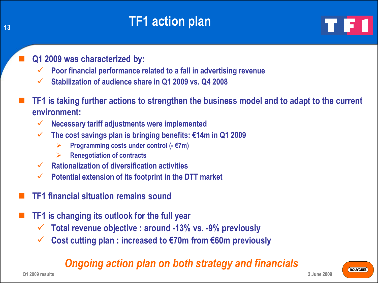### **TF1 action plan**

**Q1 2009 was characterized by:**

- **Poor financial performance related to a fall in advertising revenue**
- **Stabilization of audience share in Q1 2009 vs. Q4 2008**
- **TF1 is taking further actions to strengthen the business model and to adapt to the current environment:** 
	- **Necessary tariff adjustments were implemented**
	- **The cost savings plan is bringing benefits: €14m in Q1 2009**
		- **Programming costs under control (- €7m)**
		- **Renegotiation of contracts**
	- **Rationalization of diversification activities**
	- **Potential extension of its footprint in the DTT market**
- **TF1 financial situation remains sound**
- **TF1 is changing its outlook for the full year**
	- **Total revenue objective : around -13% vs. -9% previously**
	- **Cost cutting plan : increased to €70m from €60m previously**

### *Ongoing action plan on both strategy and financials*

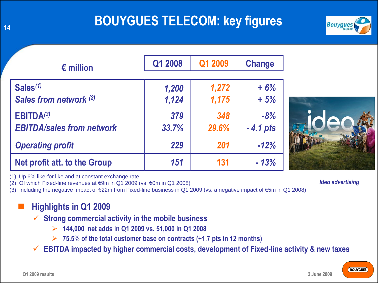### **BOUYGUES TELECOM: key figures**



| $\epsilon$ million                  | Q1 2008 | Q1 2009 | <b>Change</b> |
|-------------------------------------|---------|---------|---------------|
| Sales <sup>(1)</sup>                | 1,200   | 1,272   | $+6%$         |
| Sales from network (2)              | 1,124   | 1,175   | $+5%$         |
| <b>EBITDA(3)</b>                    | 379     | 348     | $-8%$         |
| <b>EBITDA/sales from network</b>    | 33.7%   | 29.6%   | $-4.1$ pts    |
| <b>Operating profit</b>             | 229     | 201     | $-12%$        |
| <b>Net profit att. to the Group</b> | 151     | 131     | $-13%$        |

(1) Up 6% like-for like and at constant exchange rate

(2) Of which Fixed-line revenues at €9m in Q1 2009 (vs. €0m in Q1 2008)

(3) Including the negative impact of €22m from Fixed-line business in Q1 2009 (vs. a negative impact of €5m in Q1 2008)

#### **Highlights in Q1 2009**

- **Strong commercial activity in the mobile business**
	- **144,000 net adds in Q1 2009 vs. 51,000 in Q1 2008**
	- **75.5% of the total customer base on contracts (+1.7 pts in 12 months)**
- **EBITDA impacted by higher commercial costs, development of Fixed-line activity & new taxes**



*Ideo advertising*

**BOUYGUES** 

**2 June 2009**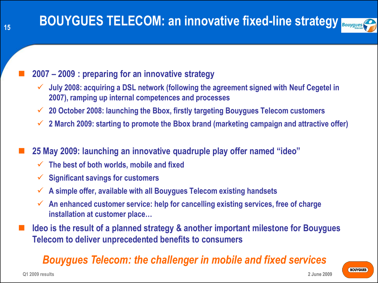

#### **2007 – 2009 : preparing for an innovative strategy**

- **July 2008: acquiring a DSL network (following the agreement signed with Neuf Cegetel in 2007), ramping up internal competences and processes**
- **20 October 2008: launching the Bbox, firstly targeting Bouygues Telecom customers**
- **2 March 2009: starting to promote the Bbox brand (marketing campaign and attractive offer)**

**25 May 2009: launching an innovative quadruple play offer named "ideo"**

- **The best of both worlds, mobile and fixed**
- **Significant savings for customers**
- **A simple offer, available with all Bouygues Telecom existing handsets**
- **An enhanced customer service: help for cancelling existing services, free of charge installation at customer place…**
- **Ideo is the result of a planned strategy & another important milestone for Bouygues Telecom to deliver unprecedented benefits to consumers**

### *Bouygues Telecom: the challenger in mobile and fixed services*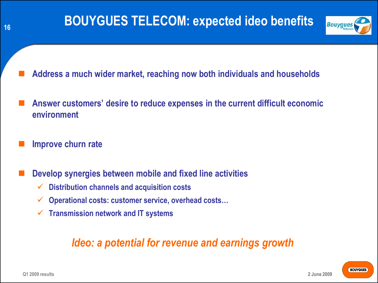

- **Address a much wider market, reaching now both individuals and households**
- **Answer customers' desire to reduce expenses in the current difficult economic environment**
- **Improve churn rate**
- **Develop synergies between mobile and fixed line activities**
	- **Distribution channels and acquisition costs**
	- **Operational costs: customer service, overhead costs…**
	- **Transmission network and IT systems**

### *Ideo: a potential for revenue and earnings growth*

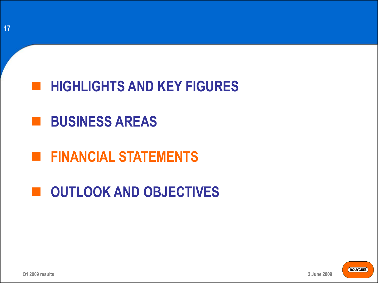

# **BUSINESS AREAS**

# **FINANCIAL STATEMENTS**

# $\blacksquare$  **OUTLOOK AND OBJECTIVES**

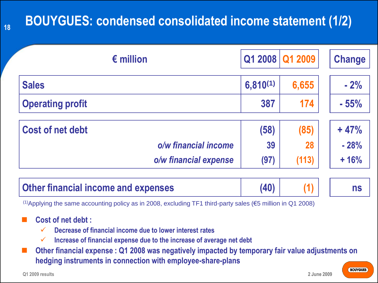## **BOUYGUES: condensed consolidated income statement (1/2)**

|               |       | <b>Change</b>   |
|---------------|-------|-----------------|
| $6,810^{(1)}$ | 6,655 | $-2%$           |
| 387           | 174   | $-55%$          |
| (58)          | (85)  | $+47%$          |
| 39            | 28    | $-28%$          |
| (97)          | (113) | $+16%$          |
|               |       | Q1 2008 Q1 2009 |

(1)Applying the same accounting policy as in 2008, excluding TF1 third-party sales (€5 million in Q1 2008)

#### **Cost of net debt :**

- **Decrease of financial income due to lower interest rates**
- **Increase of financial expense due to the increase of average net debt**

 **Other financial expense : Q1 2008 was negatively impacted by temporary fair value adjustments on hedging instruments in connection with employee-share-plans**

**18**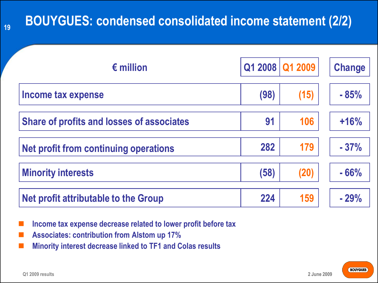### **BOUYGUES: condensed consolidated income statement (2/2)**

| $\epsilon$ million                               |      | Q1 2008 Q1 2009 | <b>Change</b> |
|--------------------------------------------------|------|-----------------|---------------|
| Income tax expense                               | (98) | (15)            | $-85%$        |
| <b>Share of profits and losses of associates</b> | 91   | 106             | $+16%$        |
| Net profit from continuing operations            | 282  | 179             | $-37%$        |
| <b>Minority interests</b>                        | (58) | (20)            | $-66%$        |
| Net profit attributable to the Group             | 224  | 159             | $-29%$        |

- **Income tax expense decrease related to lower profit before tax**
- **Associates: contribution from Alstom up 17%**
- **Minority interest decrease linked to TF1 and Colas results**

**19**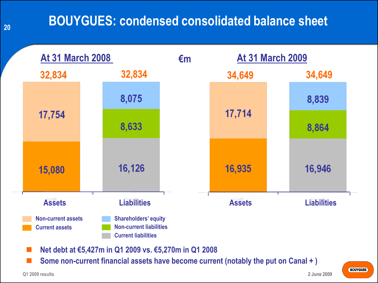### **BOUYGUES: condensed consolidated balance sheet**



**Some non-current financial assets have become current (notably the put on Canal + )**

**20**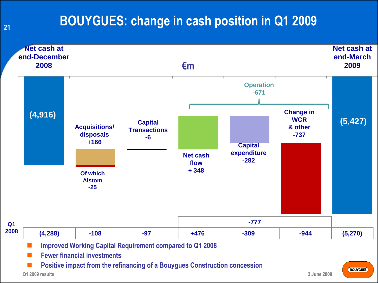### **BOUYGUES: change in cash position in Q1 2009**



**21**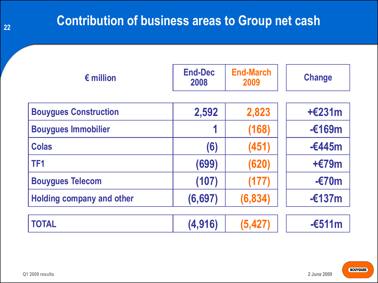### **Contribution of business areas to Group net cash**

| $\epsilon$ million               | <b>End-Dec</b><br>2008 | <b>End-March</b><br>2009 | <b>Change</b>   |
|----------------------------------|------------------------|--------------------------|-----------------|
| <b>Bouygues Construction</b>     | 2,592                  | 2,823                    | $+£231m$        |
| <b>Bouygues Immobilier</b>       |                        | (168)                    | $-£169m$        |
| <b>Colas</b>                     | (6)                    | (451)                    | $-6445m$        |
| TF <sub>1</sub>                  | (699)                  | (620)                    | $+£79m$         |
| <b>Bouygues Telecom</b>          | (107)                  | (177)                    | $-\epsilon$ 70m |
| <b>Holding company and other</b> | (6, 697)               | (6, 834)                 | $-£137m$        |
| <b>TOTAL</b>                     | (4, 916)               | (5, 427)                 | $-6511m$        |

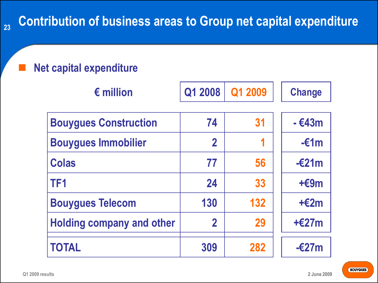### **Net capital expenditure**

| $\epsilon$ million               | Q1 2008                 | Q1 2009 | <b>Change</b>   |
|----------------------------------|-------------------------|---------|-----------------|
| <b>Bouygues Construction</b>     | 74                      | 31      | $-643m$         |
| <b>Bouygues Immobilier</b>       | $\overline{\mathbf{2}}$ | 1       | $-\epsilon$ 1m  |
| <b>Colas</b>                     | 77                      | 56      | $-\epsilon$ 21m |
| TF <sub>1</sub>                  | 24                      | 33      | $+69m$          |
| <b>Bouygues Telecom</b>          | 130                     | 132     | $+£2m$          |
| <b>Holding company and other</b> | $\mathbf 2$             | 29      | $+£27m$         |
| <b>TOTAL</b>                     | 309                     | 282     | $-\epsilon$ 27m |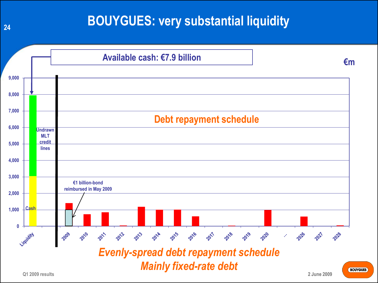### **BOUYGUES: very substantial liquidity**



**Q1 2009 results**

**2 June 2009**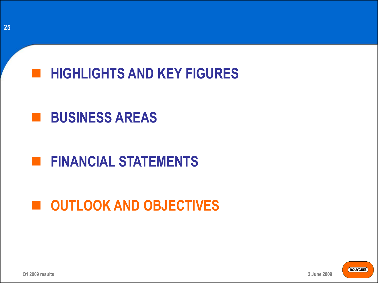

# **BUSINESS AREAS**

# **FINANCIAL STATEMENTS**

# $\blacksquare$  **OUTLOOK AND OBJECTIVES**



**Q1 2009 results**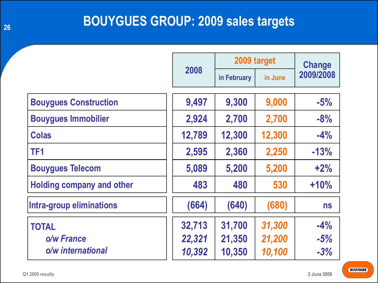### **BOUYGUES GROUP: 2009 sales targets**

|                                  |        | 2009 target |         | Change    |
|----------------------------------|--------|-------------|---------|-----------|
|                                  | 2008   | in February | in June | 2009/2008 |
| <b>Bouygues Construction</b>     | 9,497  | 9,300       | 9,000   | $-5%$     |
| <b>Bouygues Immobilier</b>       | 2,924  | 2,700       | 2,700   | $-8%$     |
| <b>Colas</b>                     | 12,789 | 12,300      | 12,300  | $-4%$     |
| TF <sub>1</sub>                  | 2,595  | 2,360       | 2,250   | $-13%$    |
| <b>Bouygues Telecom</b>          | 5,089  | 5,200       | 5,200   | $+2%$     |
| <b>Holding company and other</b> | 483    | 480         | 530     | $+10%$    |
| Intra-group eliminations         | (664)  | (640)       | (680)   | <b>ns</b> |
| <b>TOTAL</b>                     | 32,713 | 31,700      | 31,300  | $-4%$     |
| o/w France                       | 22,321 | 21,350      | 21,200  | $-5%$     |
| o/w international                | 10,392 | 10,350      | 10,100  | $-3%$     |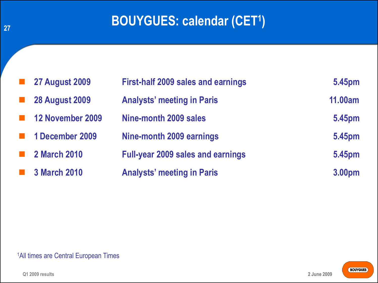### **BOUYGUES: calendar (CET<sup>1</sup> )**

| <b>27 August 2009</b> | <b>First-half 2009 sales and earnings</b> | 5.45pm         |
|-----------------------|-------------------------------------------|----------------|
| <b>28 August 2009</b> | <b>Analysts' meeting in Paris</b>         | <b>11.00am</b> |
| 12 November 2009      | Nine-month 2009 sales                     | 5.45pm         |
| 1 December 2009       | Nine-month 2009 earnings                  | 5.45pm         |
| <b>2 March 2010</b>   | <b>Full-year 2009 sales and earnings</b>  | 5.45pm         |
| <b>3 March 2010</b>   | <b>Analysts' meeting in Paris</b>         | 3.00pm         |

#### 1All times are Central European Times

**27**